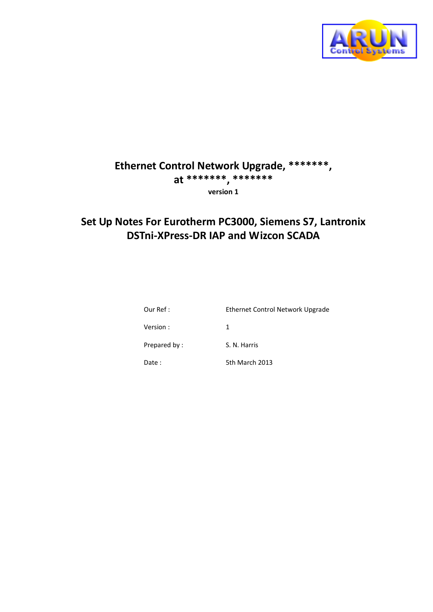

# **Ethernet Control Network Upgrade, \*\*\*\*\*\*\* , at \*\*\*\*\*\*\* , \*\*\*\*\*\*\* version 1**

# **Set Up Notes For Eurotherm PC3000, Siemens S7, Lantronix DSTni-XPress-DR IAP and Wizcon SCADA**

| Our Ref :    | Ethernet Control Network Upgrade |
|--------------|----------------------------------|
| Version:     | 1                                |
| Prepared by: | S. N. Harris                     |
| Date :       | 5th March 2013                   |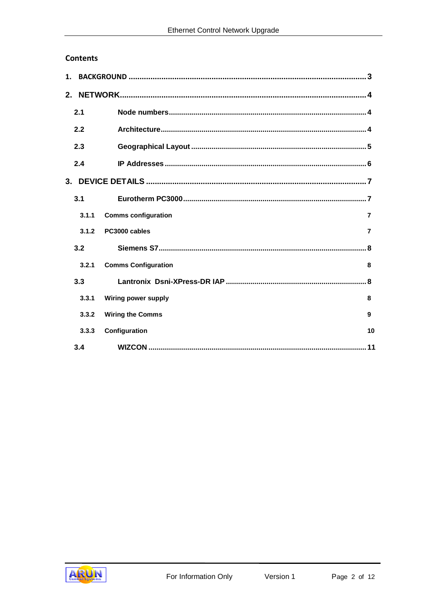## **Contents**

| 2.1   |                                                        |                |
|-------|--------------------------------------------------------|----------------|
| 2.2   |                                                        |                |
| 2.3   |                                                        |                |
| 2.4   |                                                        |                |
|       | 3. DEVICE DETAILS ……………………………………………………………………………………………7 |                |
| 3.1   |                                                        |                |
| 3.1.1 | <b>Comms configuration</b>                             | $\overline{7}$ |
| 3.1.2 | PC3000 cables                                          | $\overline{7}$ |
| 3.2   |                                                        |                |
| 3.2.1 | <b>Comms Configuration</b>                             | 8              |
| 3.3   |                                                        |                |
| 3.3.1 | <b>Wiring power supply</b>                             | 8              |
| 3.3.2 | <b>Wiring the Comms</b>                                | 9              |
| 3.3.3 | Configuration                                          | 10             |
| 3.4   |                                                        |                |

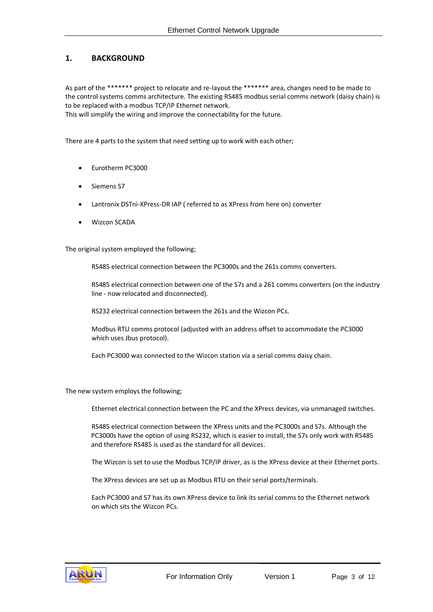## <span id="page-2-0"></span>**1. BACKGROUND**

As part of the \*\*\*\*\*\*\* project to relocate and re-layout the \*\*\*\*\*\*\* area, changes need to be made to the control systems comms architecture. The existing RS485 modbus serial comms network (daisy chain) is to be replaced with a modbus TCP/IP Ethernet network.

This will simplify the wiring and improve the connectability for the future.

There are 4 parts to the system that need setting up to work with each other;

- Eurotherm PC3000
- Siemens S7
- Lantronix DSTni-XPress-DR IAP ( referred to as XPress from here on) converter
- Wizcon SCADA

The original system employed the following;

RS485 electrical connection between the PC3000s and the 261s comms converters.

RS485 electrical connection between one of the S7s and a 261 comms converters (on the industry line - now relocated and disconnected).

RS232 electrical connection between the 261s and the Wizcon PCs.

Modbus RTU comms protocol (adjusted with an address offset to accommodate the PC3000 which uses Jbus protocol).

Each PC3000 was connected to the Wizcon station via a serial comms daisy chain.

The new system employs the following;

Ethernet electrical connection between the PC and the XPress devices, via unmanaged switches.

RS485 electrical connection between the XPress units and the PC3000s and S7s. Although the PC3000s have the option of using RS232, which is easier to install, the S7s only work with RS485 and therefore RS485 is used as the standard for all devices.

The Wizcon is set to use the Modbus TCP/IP driver, as is the XPress device at their Ethernet ports.

The XPress devices are set up as Modbus RTU on their serial ports/terminals.

Each PC3000 and S7 has its own XPress device to link its serial comms to the Ethernet network on which sits the Wizcon PCs.

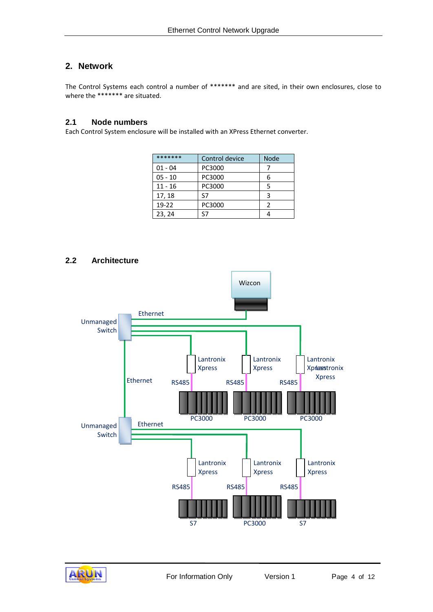# <span id="page-3-0"></span>**2. Network**

The Control Systems each control a number of \*\*\*\*\*\*\* and are sited, in their own enclosures, close to where the \*\*\*\*\*\*\*\* are situated.

#### <span id="page-3-1"></span>**2.1 Node numbers**

Each Control System enclosure will be installed with an XPress Ethernet converter.

| *******   | Control device | <b>Node</b> |
|-----------|----------------|-------------|
| $01 - 04$ | PC3000         |             |
| $05 - 10$ | PC3000         | հ           |
| $11 - 16$ | PC3000         |             |
| 17, 18    | ۲7             |             |
| $19 - 22$ | PC3000         | 2           |
| 23, 24    | S7             |             |

# <span id="page-3-2"></span>**2.2 Architecture**



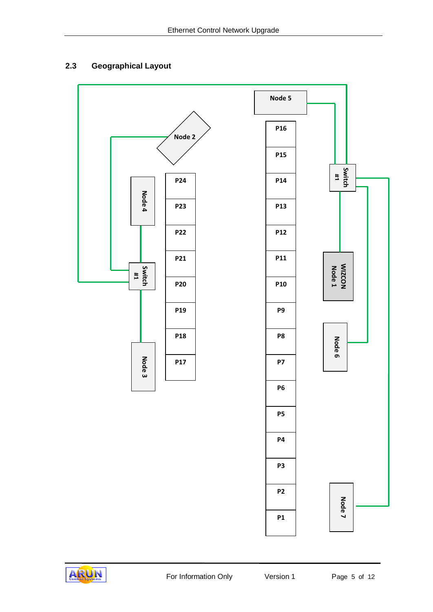# <span id="page-4-0"></span>**2.3 Geographical Layout**



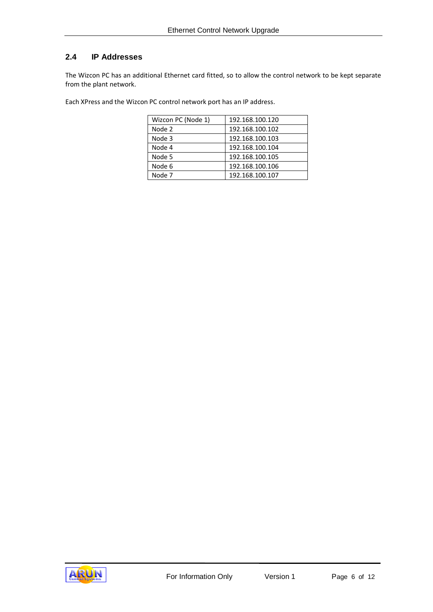# <span id="page-5-0"></span>**2.4 IP Addresses**

The Wizcon PC has an additional Ethernet card fitted, so to allow the control network to be kept separate from the plant network.

Each XPress and the Wizcon PC control network port has an IP address.

| Wizcon PC (Node 1) | 192.168.100.120 |
|--------------------|-----------------|
| Node 2             | 192.168.100.102 |
| Node 3             | 192.168.100.103 |
| Node 4             | 192.168.100.104 |
| Node 5             | 192.168.100.105 |
| Node 6             | 192.168.100.106 |
| Node 7             | 192.168.100.107 |

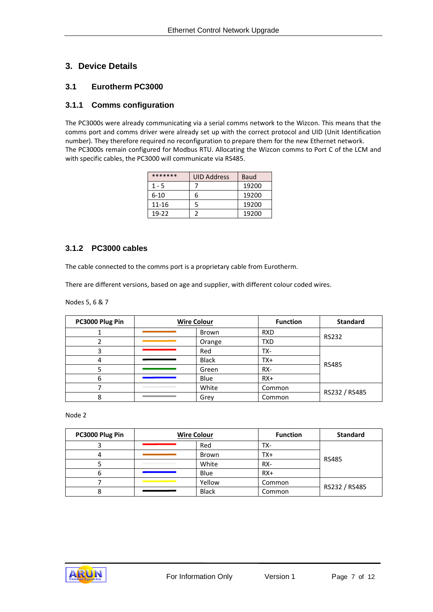# <span id="page-6-0"></span>**3. Device Details**

## <span id="page-6-1"></span>**3.1 Eurotherm PC3000**

## <span id="page-6-2"></span>**3.1.1 Comms configuration**

The PC3000s were already communicating via a serial comms network to the Wizcon. This means that the comms port and comms driver were already set up with the correct protocol and UID (Unit Identification number). They therefore required no reconfiguration to prepare them for the new Ethernet network. The PC3000s remain configured for Modbus RTU. Allocating the Wizcon comms to Port C of the LCM and with specific cables, the PC3000 will communicate via RS485.

| *******   | <b>UID Address</b> | Baud  |
|-----------|--------------------|-------|
| $1 - 5$   |                    | 19200 |
| $6 - 10$  |                    | 19200 |
| $11 - 16$ |                    | 19200 |
| 19-22     |                    | 19200 |

#### <span id="page-6-3"></span>**3.1.2 PC3000 cables**

The cable connected to the comms port is a proprietary cable from Eurotherm.

There are different versions, based on age and supplier, with different colour coded wires.

Nodes 5, 6 & 7

| PC3000 Plug Pin | <b>Wire Colour</b> |              | <b>Function</b> | <b>Standard</b> |
|-----------------|--------------------|--------------|-----------------|-----------------|
|                 |                    | Brown        | <b>RXD</b>      |                 |
|                 |                    | Orange       | <b>TXD</b>      | <b>RS232</b>    |
|                 |                    | Red          | TX-             |                 |
| 4               |                    | <b>Black</b> | TX+             | <b>RS485</b>    |
|                 |                    | Green        | RX-             |                 |
| 6               |                    | Blue         | $RX+$           |                 |
|                 |                    | White        | Common          | RS232 / RS485   |
| 8               |                    | Grey         | Common          |                 |

Node 2

| PC3000 Plug Pin | <b>Wire Colour</b> |              | <b>Function</b> | <b>Standard</b> |
|-----------------|--------------------|--------------|-----------------|-----------------|
|                 |                    | Red          | TX-             |                 |
|                 |                    | Brown        | TX+             |                 |
|                 |                    | White        | RX-             | <b>RS485</b>    |
|                 |                    | Blue         | $RX+$           |                 |
|                 |                    | Yellow       | Common          |                 |
|                 |                    | <b>Black</b> | Common          | RS232 / RS485   |

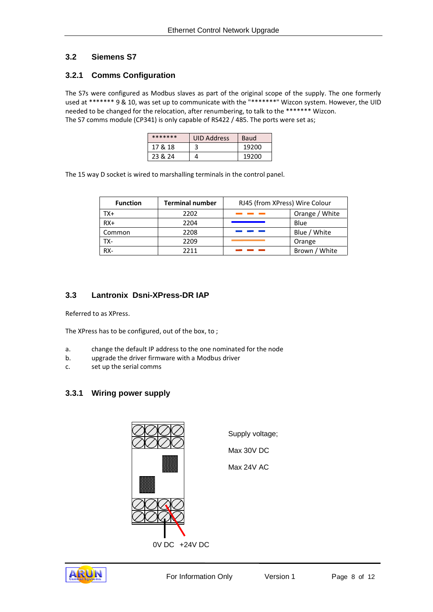# <span id="page-7-0"></span>**3.2 Siemens S7**

## <span id="page-7-1"></span>**3.2.1 Comms Configuration**

The S7s were configured as Modbus slaves as part of the original scope of the supply. The one formerly used at \*\*\*\*\*\*\* 9 & 10, was set up to communicate with the "\*\*\*\*\*\*\*" Wizcon system. However, the UID needed to be changed for the relocation, after renumbering, to talk to the \*\*\*\*\*\*\* Wizcon. The S7 comms module (CP341) is only capable of RS422 / 485. The ports were set as;

| ******* | <b>UID Address</b> | Baud  |
|---------|--------------------|-------|
| 17 & 18 |                    | 19200 |
| 23 & 24 |                    | 19200 |

The 15 way D socket is wired to marshalling terminals in the control panel.

| <b>Function</b> | <b>Terminal number</b> | RJ45 (from XPress) Wire Colour |                |
|-----------------|------------------------|--------------------------------|----------------|
| TX+             | 2202                   |                                | Orange / White |
| $RX+$           | 2204                   |                                | Blue           |
| Common          | 2208                   |                                | Blue / White   |
| TX-             | 2209                   |                                | Orange         |
| RX-             | 2211                   |                                | Brown / White  |

# <span id="page-7-2"></span>**3.3 Lantronix Dsni-XPress-DR IAP**

Referred to as XPress.

The XPress has to be configured, out of the box, to ;

- a. change the default IP address to the one nominated for the node
- b. upgrade the driver firmware with a Modbus driver
- c. set up the serial comms

# <span id="page-7-3"></span>**3.3.1 Wiring power supply**



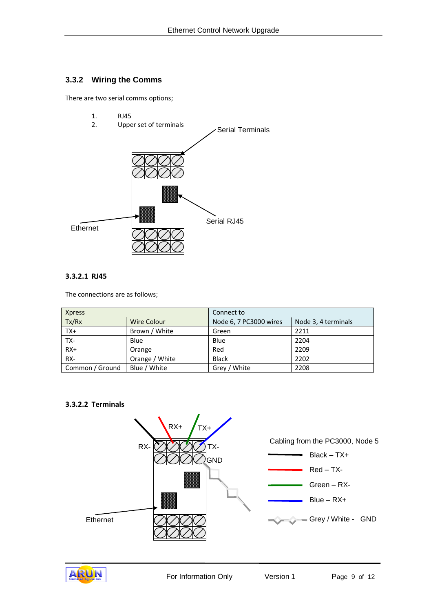## <span id="page-8-0"></span>**3.3.2 Wiring the Comms**

There are two serial comms options;

1. RJ45<br>2. Uppe



#### **3.3.2.1 RJ45**

The connections are as follows;

| <b>Xpress</b>   |                | Connect to             |                     |
|-----------------|----------------|------------------------|---------------------|
| Tx/Rx           | Wire Colour    | Node 6, 7 PC3000 wires | Node 3, 4 terminals |
| $TX+$           | Brown / White  | Green                  | 2211                |
| TX-             | Blue           | Blue                   | 2204                |
| $RX+$           | Orange         | Red                    | 2209                |
| RX-             | Orange / White | <b>Black</b>           | 2202                |
| Common / Ground | Blue / White   | Grey / White           | 2208                |

#### **3.3.2.2 Terminals**



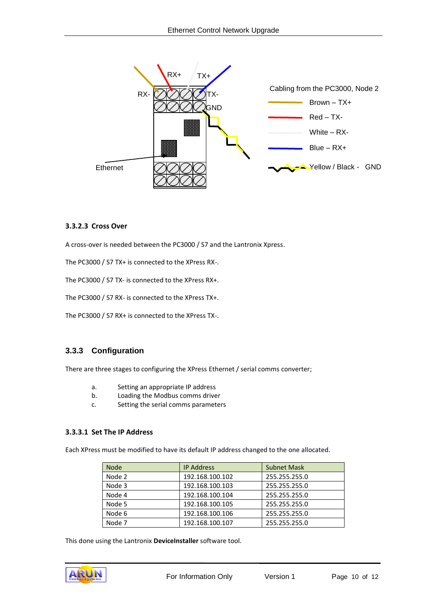

#### **3.3.2.3 Cross Over**

A cross-over is needed between the PC3000 / S7 and the Lantronix Xpress.

The PC3000 / S7 TX+ is connected to the XPress RX-.

The PC3000 / S7 TX- is connected to the XPress RX+.

The PC3000 / S7 RX- is connected to the XPress TX+.

The PC3000 / S7 RX+ is connected to the XPress TX-.

#### <span id="page-9-0"></span>**3.3.3 Configuration**

There are three stages to configuring the XPress Ethernet / serial comms converter;

- a. Setting an appropriate IP address
- b. Loading the Modbus comms driver
- c. Setting the serial comms parameters

#### **3.3.3.1 Set The IP Address**

Each XPress must be modified to have its default IP address changed to the one allocated.

| <b>Node</b> | <b>IP Address</b> | <b>Subnet Mask</b> |
|-------------|-------------------|--------------------|
| Node 2      | 192.168.100.102   | 255.255.255.0      |
| Node 3      | 192.168.100.103   | 255.255.255.0      |
| Node 4      | 192.168.100.104   | 255.255.255.0      |
| Node 5      | 192.168.100.105   | 255.255.255.0      |
| Node 6      | 192.168.100.106   | 255.255.255.0      |
| Node 7      | 192.168.100.107   | 255.255.255.0      |

This done using the Lantronix **DeviceInstaller** software tool.

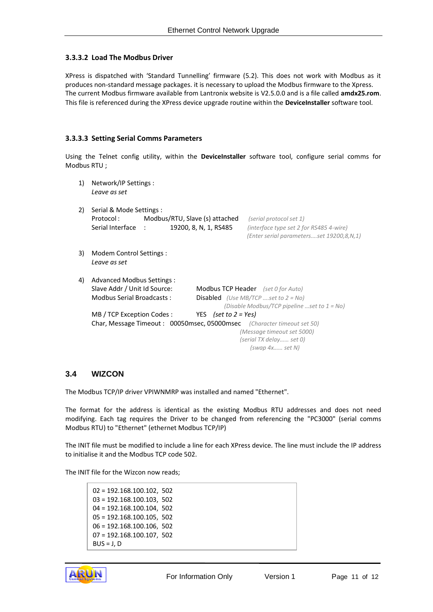#### **3.3.3.2 Load The Modbus Driver**

XPress is dispatched with 'Standard Tunnelling' firmware (5.2). This does not work with Modbus as it produces non-standard message packages. it is necessary to upload the Modbus firmware to the Xpress. The current Modbus firmware available from Lantronix website is V2.5.0.0 and is a file called **amdx25.rom**. This file is referenced during the XPress device upgrade routine within the **DeviceInstaller** software tool.

#### **3.3.3.3 Setting Serial Comms Parameters**

Using the Telnet config utility, within the **DeviceInstaller** software tool, configure serial comms for Modbus RTU ;

1) Network/IP Settings : *Leave as set*  2) Serial & Mode Settings : Protocol : Modbus/RTU, Slave (s) attached *(serial protocol set 1)* Serial Interface : 19200, 8, N, 1, RS485 *(interface type set 2 for RS485 4-wire) (Enter serial parameters….set 19200,8,N,1)* 3) Modem Control Settings : *Leave as set* 4) Advanced Modbus Settings : Slave Addr / Unit Id Source: Modbus TCP Header *(set 0 for Auto)* Modbus Serial Broadcasts : Disabled *(Use MB/TCP ….set to 2 = No) (Disable Modbus/TCP pipeline …set to 1 = No)* MB / TCP Exception Codes : YES *(set to 2 = Yes)* Char, Message Timeout : 00050msec, 05000msec *(Character timeout set 50) (Message timeout set 5000) (serial TX delay…… set 0) (swap 4x…… set N)*

#### <span id="page-10-0"></span>**3.4 WIZCON**

The Modbus TCP/IP driver VPIWNMRP was installed and named "Ethernet".

The format for the address is identical as the existing Modbus RTU addresses and does not need modifying. Each tag requires the Driver to be changed from referencing the "PC3000" (serial comms Modbus RTU) to "Ethernet" (ethernet Modbus TCP/IP)

The INIT file must be modified to include a line for each XPress device. The line must include the IP address to initialise it and the Modbus TCP code 502.

The INIT file for the Wizcon now reads;

02 = 192.168.100.102, 502 03 = 192.168.100.103, 502 04 = 192.168.100.104, 502 05 = 192.168.100.105, 502 06 = 192.168.100.106, 502 07 = 192.168.100.107, 502  $BUS = J, D$